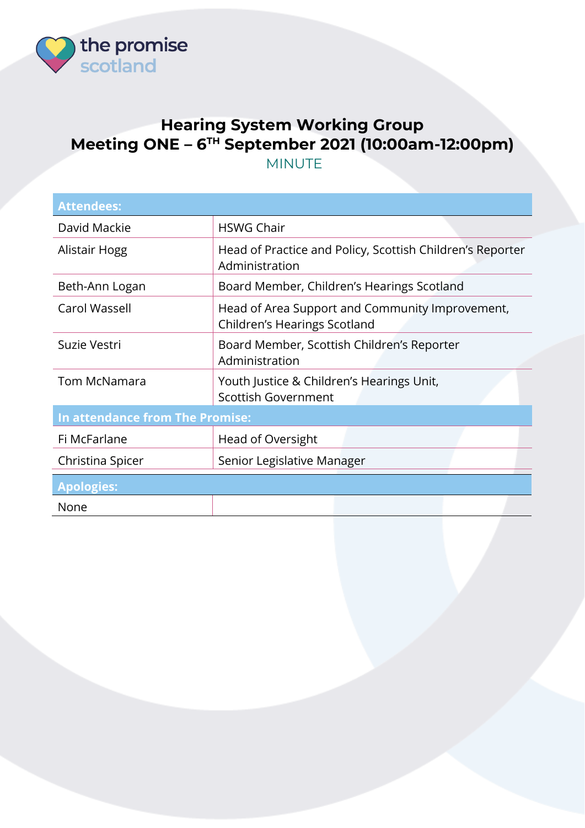

## **Hearing System Working Group Meeting ONE – 6 TH September 2021 (10:00am-12:00pm)** MINUTE

| <b>Attendees:</b>               |                                                                                 |  |
|---------------------------------|---------------------------------------------------------------------------------|--|
| David Mackie                    | <b>HSWG Chair</b>                                                               |  |
| Alistair Hogg                   | Head of Practice and Policy, Scottish Children's Reporter<br>Administration     |  |
| Beth-Ann Logan                  | Board Member, Children's Hearings Scotland                                      |  |
| Carol Wassell                   | Head of Area Support and Community Improvement,<br>Children's Hearings Scotland |  |
| Suzie Vestri                    | Board Member, Scottish Children's Reporter<br>Administration                    |  |
| <b>Tom McNamara</b>             | Youth Justice & Children's Hearings Unit,<br><b>Scottish Government</b>         |  |
| In attendance from The Promise: |                                                                                 |  |
| Fi McFarlane                    | Head of Oversight                                                               |  |
| Christina Spicer                | Senior Legislative Manager                                                      |  |
| <b>Apologies:</b>               |                                                                                 |  |
| None                            |                                                                                 |  |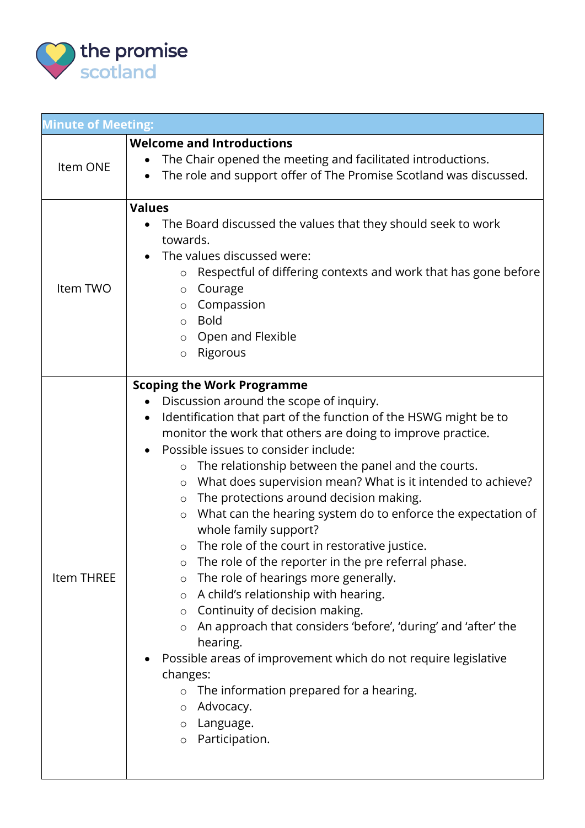

| <b>Minute of Meeting:</b> |                                                                                                                                                                                                                                                                                                                                                                                                                                                                                                                                                                                                                                                                                                                                                                                                                                                                                                                                                                                                                                                                                                                                                           |  |
|---------------------------|-----------------------------------------------------------------------------------------------------------------------------------------------------------------------------------------------------------------------------------------------------------------------------------------------------------------------------------------------------------------------------------------------------------------------------------------------------------------------------------------------------------------------------------------------------------------------------------------------------------------------------------------------------------------------------------------------------------------------------------------------------------------------------------------------------------------------------------------------------------------------------------------------------------------------------------------------------------------------------------------------------------------------------------------------------------------------------------------------------------------------------------------------------------|--|
| Item ONE                  | <b>Welcome and Introductions</b><br>The Chair opened the meeting and facilitated introductions.<br>The role and support offer of The Promise Scotland was discussed.                                                                                                                                                                                                                                                                                                                                                                                                                                                                                                                                                                                                                                                                                                                                                                                                                                                                                                                                                                                      |  |
| Item TWO                  | <b>Values</b><br>The Board discussed the values that they should seek to work<br>towards.<br>The values discussed were:<br>$\bullet$<br>Respectful of differing contexts and work that has gone before<br>$\circ$<br>Courage<br>O<br>Compassion<br>$\circ$<br><b>Bold</b><br>$\circ$<br>Open and Flexible<br>$\circ$<br>Rigorous<br>$\circ$                                                                                                                                                                                                                                                                                                                                                                                                                                                                                                                                                                                                                                                                                                                                                                                                               |  |
| <b>Item THREE</b>         | <b>Scoping the Work Programme</b><br>Discussion around the scope of inquiry.<br>$\bullet$<br>Identification that part of the function of the HSWG might be to<br>$\bullet$<br>monitor the work that others are doing to improve practice.<br>Possible issues to consider include:<br>The relationship between the panel and the courts.<br>O<br>What does supervision mean? What is it intended to achieve?<br>$\circ$<br>The protections around decision making.<br>$\circ$<br>What can the hearing system do to enforce the expectation of<br>$\circ$<br>whole family support?<br>The role of the court in restorative justice.<br>$\circ$<br>The role of the reporter in the pre referral phase.<br>$\circ$<br>The role of hearings more generally.<br>$\circ$<br>A child's relationship with hearing.<br>$\circ$<br>Continuity of decision making.<br>$\circ$<br>An approach that considers 'before', 'during' and 'after' the<br>$\circ$<br>hearing.<br>Possible areas of improvement which do not require legislative<br>changes:<br>The information prepared for a hearing.<br>Advocacy.<br>$\circ$<br>Language.<br>O<br>Participation.<br>$\circ$ |  |